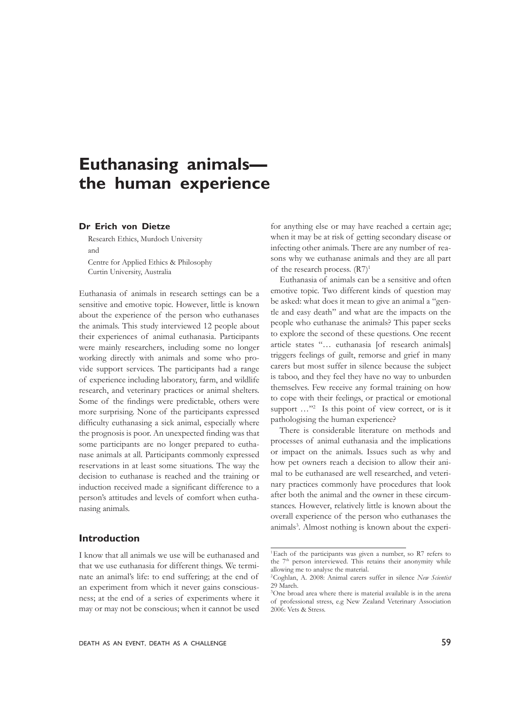# **Euthanasing animals the human experience**

# **Dr Erich von Dietze**

Research Ethics, Murdoch University and Centre for Applied Ethics & Philosophy Curtin University, Australia

Euthanasia of animals in research settings can be a sensitive and emotive topic. However, little is known about the experience of the person who euthanases the animals. This study interviewed 12 people about their experiences of animal euthanasia. Participants were mainly researchers, including some no longer working directly with animals and some who provide support services. The participants had a range of experience including laboratory, farm, and wildlife research, and veterinary practices or animal shelters. Some of the findings were predictable, others were more surprising. None of the participants expressed difficulty euthanasing a sick animal, especially where the prognosis is poor. An unexpected finding was that some participants are no longer prepared to euthanase animals at all. Participants commonly expressed reservations in at least some situations. The way the decision to euthanase is reached and the training or induction received made a significant difference to a person's attitudes and levels of comfort when euthanasing animals.

## **Introduction**

I know that all animals we use will be euthanased and that we use euthanasia for different things. We terminate an animal's life: to end suffering; at the end of an experiment from which it never gains consciousness; at the end of a series of experiments where it may or may not be conscious; when it cannot be used

for anything else or may have reached a certain age; when it may be at risk of getting secondary disease or infecting other animals. There are any number of reasons why we euthanase animals and they are all part of the research process.  $(R7)^1$ 

Euthanasia of animals can be a sensitive and often emotive topic. Two different kinds of question may be asked: what does it mean to give an animal a "gentle and easy death" and what are the impacts on the people who euthanase the animals? This paper seeks to explore the second of these questions. One recent article states "… euthanasia [of research animals] triggers feelings of guilt, remorse and grief in many carers but most suffer in silence because the subject is taboo, and they feel they have no way to unburden themselves. Few receive any formal training on how to cope with their feelings, or practical or emotional support ..."<sup>2</sup> Is this point of view correct, or is it pathologising the human experience?

There is considerable literature on methods and processes of animal euthanasia and the implications or impact on the animals. Issues such as why and how pet owners reach a decision to allow their animal to be euthanased are well researched, and veterinary practices commonly have procedures that look after both the animal and the owner in these circumstances. However, relatively little is known about the overall experience of the person who euthanases the animals<sup>3</sup>. Almost nothing is known about the experi-

<sup>1</sup>Each of the participants was given a number, so R7 refers to the 7<sup>th</sup> person interviewed. This retains their anonymity while allowing me to analyse the material.

<sup>2</sup>Coghlan, A. 2008: Animal carers suffer in silence *New Scientist* 29 March.

<sup>3</sup> One broad area where there is material available is in the arena of professional stress, e.g New Zealand Veterinary Association 2006: Vets & Stress.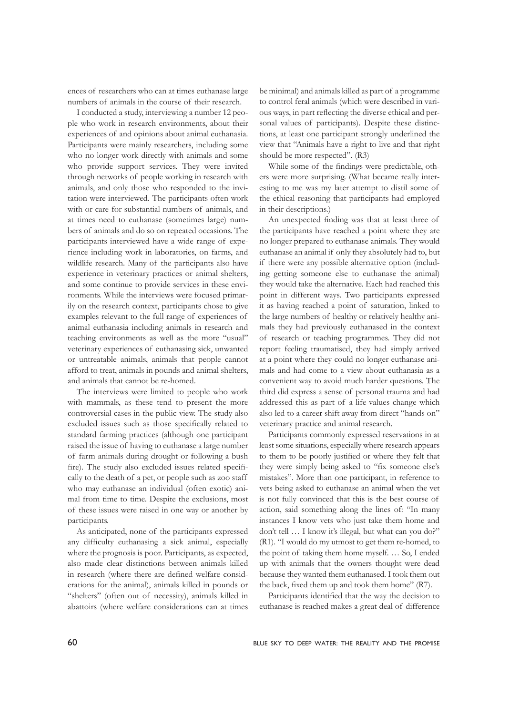ences of researchers who can at times euthanase large numbers of animals in the course of their research.

I conducted a study, interviewing a number 12 people who work in research environments, about their experiences of and opinions about animal euthanasia. Participants were mainly researchers, including some who no longer work directly with animals and some who provide support services. They were invited through networks of people working in research with animals, and only those who responded to the invitation were interviewed. The participants often work with or care for substantial numbers of animals, and at times need to euthanase (sometimes large) numbers of animals and do so on repeated occasions. The participants interviewed have a wide range of experience including work in laboratories, on farms, and wildlife research. Many of the participants also have experience in veterinary practices or animal shelters, and some continue to provide services in these environments. While the interviews were focused primarily on the research context, participants chose to give examples relevant to the full range of experiences of animal euthanasia including animals in research and teaching environments as well as the more "usual" veterinary experiences of euthanasing sick, unwanted or untreatable animals, animals that people cannot afford to treat, animals in pounds and animal shelters, and animals that cannot be re-homed.

The interviews were limited to people who work with mammals, as these tend to present the more controversial cases in the public view. The study also excluded issues such as those specifically related to standard farming practices (although one participant raised the issue of having to euthanase a large number of farm animals during drought or following a bush fire). The study also excluded issues related specifically to the death of a pet, or people such as zoo staff who may euthanase an individual (often exotic) animal from time to time. Despite the exclusions, most of these issues were raised in one way or another by participants.

As anticipated, none of the participants expressed any difficulty euthanasing a sick animal, especially where the prognosis is poor. Participants, as expected, also made clear distinctions between animals killed in research (where there are defined welfare considerations for the animal), animals killed in pounds or "shelters" (often out of necessity), animals killed in abattoirs (where welfare considerations can at times

be minimal) and animals killed as part of a programme to control feral animals (which were described in various ways, in part reflecting the diverse ethical and personal values of participants). Despite these distinctions, at least one participant strongly underlined the view that "Animals have a right to live and that right should be more respected". (R3)

While some of the findings were predictable, others were more surprising. (What became really interesting to me was my later attempt to distil some of the ethical reasoning that participants had employed in their descriptions.)

An unexpected finding was that at least three of the participants have reached a point where they are no longer prepared to euthanase animals. They would euthanase an animal if only they absolutely had to, but if there were any possible alternative option (including getting someone else to euthanase the animal) they would take the alternative. Each had reached this point in different ways. Two participants expressed it as having reached a point of saturation, linked to the large numbers of healthy or relatively healthy animals they had previously euthanased in the context of research or teaching programmes. They did not report feeling traumatised, they had simply arrived at a point where they could no longer euthanase animals and had come to a view about euthanasia as a convenient way to avoid much harder questions. The third did express a sense of personal trauma and had addressed this as part of a life-values change which also led to a career shift away from direct "hands on" veterinary practice and animal research.

Participants commonly expressed reservations in at least some situations, especially where research appears to them to be poorly justified or where they felt that they were simply being asked to "fix someone else's mistakes". More than one participant, in reference to vets being asked to euthanase an animal when the vet is not fully convinced that this is the best course of action, said something along the lines of: "In many instances I know vets who just take them home and don't tell … I know it's illegal, but what can you do?" (R1). "I would do my utmost to get them re-homed, to the point of taking them home myself. … So, I ended up with animals that the owners thought were dead because they wanted them euthanased. I took them out the back, fixed them up and took them home" (R7).

Participants identified that the way the decision to euthanase is reached makes a great deal of difference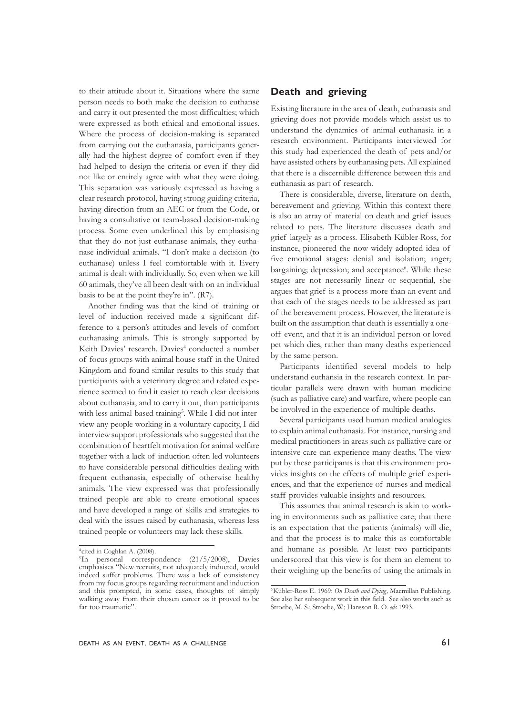to their attitude about it. Situations where the same person needs to both make the decision to euthanse and carry it out presented the most difficulties; which were expressed as both ethical and emotional issues. Where the process of decision-making is separated from carrying out the euthanasia, participants generally had the highest degree of comfort even if they had helped to design the criteria or even if they did not like or entirely agree with what they were doing. This separation was variously expressed as having a clear research protocol, having strong guiding criteria, having direction from an AEC or from the Code, or having a consultative or team-based decision-making process. Some even underlined this by emphasising that they do not just euthanase animals, they euthanase individual animals. "I don't make a decision (to euthanase) unless I feel comfortable with it. Every animal is dealt with individually. So, even when we kill 60 animals, they've all been dealt with on an individual basis to be at the point they're in". (R7).

Another finding was that the kind of training or level of induction received made a significant difference to a person's attitudes and levels of comfort euthanasing animals. This is strongly supported by Keith Davies' research. Davies<sup>4</sup> conducted a number of focus groups with animal house staff in the United Kingdom and found similar results to this study that participants with a veterinary degree and related experience seemed to find it easier to reach clear decisions about euthanasia, and to carry it out, than participants with less animal-based training<sup>5</sup>. While I did not interview any people working in a voluntary capacity, I did interview support professionals who suggested that the combination of heartfelt motivation for animal welfare together with a lack of induction often led volunteers to have considerable personal difficulties dealing with frequent euthanasia, especially of otherwise healthy animals. The view expressed was that professionally trained people are able to create emotional spaces and have developed a range of skills and strategies to deal with the issues raised by euthanasia, whereas less trained people or volunteers may lack these skills.

# **Death and grieving**

Existing literature in the area of death, euthanasia and grieving does not provide models which assist us to understand the dynamics of animal euthanasia in a research environment. Participants interviewed for this study had experienced the death of pets and/or have assisted others by euthanasing pets. All explained that there is a discernible difference between this and euthanasia as part of research.

There is considerable, diverse, literature on death, bereavement and grieving. Within this context there is also an array of material on death and grief issues related to pets. The literature discusses death and grief largely as a process. Elisabeth Kübler-Ross, for instance, pioneered the now widely adopted idea of five emotional stages: denial and isolation; anger; bargaining; depression; and acceptance<sup>6</sup>. While these stages are not necessarily linear or sequential, she argues that grief is a process more than an event and that each of the stages needs to be addressed as part of the bereavement process. However, the literature is built on the assumption that death is essentially a oneoff event, and that it is an individual person or loved pet which dies, rather than many deaths experienced by the same person.

Participants identified several models to help understand euthansia in the research context. In particular parallels were drawn with human medicine (such as palliative care) and warfare, where people can be involved in the experience of multiple deaths.

Several participants used human medical analogies to explain animal euthanasia. For instance, nursing and medical practitioners in areas such as palliative care or intensive care can experience many deaths. The view put by these participants is that this environment provides insights on the effects of multiple grief experiences, and that the experience of nurses and medical staff provides valuable insights and resources.

This assumes that animal research is akin to working in environments such as palliative care; that there is an expectation that the patients (animals) will die, and that the process is to make this as comfortable and humane as possible. At least two participants underscored that this view is for them an element to their weighing up the benefits of using the animals in

<sup>4</sup> cited in Coghlan A. (2008).

<sup>&</sup>lt;sup>5</sup>In personal correspondence (21/5/2008), Davies emphasises "New recruits, not adequately inducted, would indeed suffer problems. There was a lack of consistency from my focus groups regarding recruitment and induction and this prompted, in some cases, thoughts of simply walking away from their chosen career as it proved to be far too traumatic".

<sup>6</sup>Kübler-Ross E. 1969: *On Death and Dying,* Macmillan Publishing. See also her subsequent work in this field. See also works such as Stroebe, M. S.; Stroebe, W.; Hansson R. O. *eds* 1993.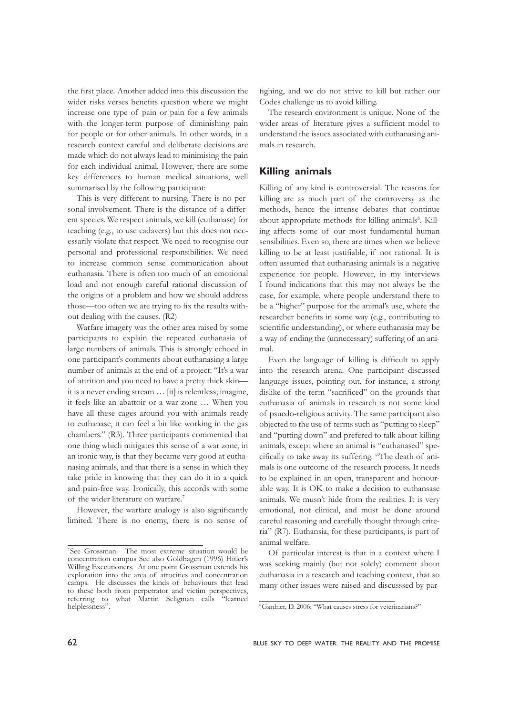the first place. Another added into this discussion the wider risks verses benefits question where we might increase one type of pain or pain for a few animals with the longer-term purpose of diminishing pain for people or for other animals. In other words, in a research context careful and deliberate decisions are made which do not always lead to minimising the pain for each individual animal. However, there are some key differences to human medical situations, well summarised by the following participant:

This is very different to nursing. There is no personal involvement. There is the distance of a different species. We respect animals, we kill (euthanase) for teaching (e.g., to use cadavers) but this does not necessarily violate that respect. We need to recognise our personal and professional responsibilities. We need to increase common sense communication about euthanasia. There is often too much of an emotional load and not enough careful rational discussion of the origins of a problem and how we should address those—too often we are trying to fix the results without dealing with the causes. (R2)

Warfare imagery was the other area raised by some participants to explain the repeated euthanasia of large numbers of animals. This is strongly echoed in one participant's comments about euthanasing a large number of animals at the end of a project: "It's a war of attrition and you need to have a pretty thick skin it is a never ending stream … [it] is relentless; imagine, it feels like an abattoir or a war zone … When you have all these cages around you with animals ready to euthanase, it can feel a bit like working in the gas chambers." (R3). Three participants commented that one thing which mitigates this sense of a war zone, in an ironic way, is that they became very good at euthanasing animals, and that there is a sense in which they take pride in knowing that they can do it in a quick and pain-free way. Ironically, this accords with some of the wider literature on warfare.7

However, the warfare analogy is also significantly limited. There is no enemy, there is no sense of

fighing, and we do not strive to kill but rather our Codes challenge us to avoid killing.

The research environment is unique. None of the wider areas of literature gives a sufficient model to understand the issues associated with euthanasing animals in research.

# **Killing animals**

Killing of any kind is controversial. The reasons for killing are as much part of the controversy as the methods, hence the intense debates that continue about appropriate methods for killing animals<sup>8</sup>. Killing affects some of our most fundamental human sensibilities. Even so, there are times when we believe killing to be at least justifiable, if not rational. It is often assumed that euthanasing animals is a negative experience for people. However, in my interviews I found indications that this may not always be the case, for example, where people understand there to be a "higher" purpose for the animal's use, where the researcher benefits in some way (e.g., contributing to scientific understanding), or where euthanasia may be a way of ending the (unnecessary) suffering of an animal.

Even the language of killing is difficult to apply into the research arena. One participant discussed language issues, pointing out, for instance, a strong dislike of the term "sacrificed" on the grounds that euthanasia of animals in research is not some kind of psuedo-religious activity. The same participant also objected to the use of terms such as "putting to sleep" and "putting down" and prefered to talk about killing animals, except where an animal is "euthanased" specifically to take away its suffering. "The death of animals is one outcome of the research process. It needs to be explained in an open, transparent and honourable way. It is OK to make a decision to euthansase animals. We musn't hide from the realities. It is very emotional, not clinical, and must be done around careful reasoning and carefully thought through criteria" (R7). Euthansia, for these participants, is part of animal welfare.

Of particular interest is that in a context where I was seeking mainly (but not solely) comment about euthanasia in a research and teaching context, that so many other issues were raised and discusssed by par-

<sup>7</sup>See Grossman. The most extreme situation would be concentration campus See also Goldhagen (1996) Hitler's Willing Executioners. At one point Grossman extends his exploration into the area of atrocities and concentration camps. He discusses the kinds of behaviours that lead to these both from perpetrator and victim perspectives, referring to what Martin Seligman calls "learned referring to what Martin Seligman calls helplessness".

<sup>8</sup>Gardner, D. 2006: "What causes stress for veterinarians?"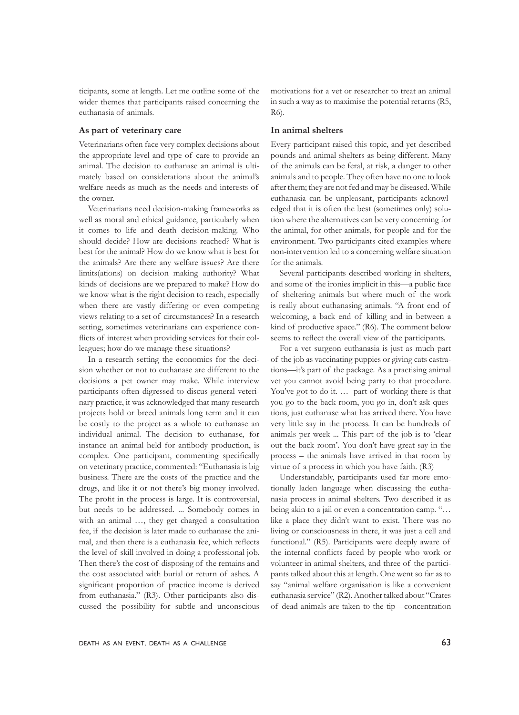ticipants, some at length. Let me outline some of the wider themes that participants raised concerning the euthanasia of animals.

#### **As part of veterinary care**

Veterinarians often face very complex decisions about the appropriate level and type of care to provide an animal. The decision to euthanase an animal is ultimately based on considerations about the animal's welfare needs as much as the needs and interests of the owner.

Veterinarians need decision-making frameworks as well as moral and ethical guidance, particularly when it comes to life and death decision-making. Who should decide? How are decisions reached? What is best for the animal? How do we know what is best for the animals? Are there any welfare issues? Are there limits(ations) on decision making authority? What kinds of decisions are we prepared to make? How do we know what is the right decision to reach, especially when there are vastly differing or even competing views relating to a set of circumstances? In a research setting, sometimes veterinarians can experience conflicts of interest when providing services for their colleagues; how do we manage these situations?

In a research setting the economics for the decision whether or not to euthanase are different to the decisions a pet owner may make. While interview participants often digressed to discus general veterinary practice, it was acknowledged that many research projects hold or breed animals long term and it can be costly to the project as a whole to euthanase an individual animal. The decision to euthanase, for instance an animal held for antibody production, is complex. One participant, commenting specifically on veterinary practice, commented: "Euthanasia is big business. There are the costs of the practice and the drugs, and like it or not there's big money involved. The profit in the process is large. It is controversial, but needs to be addressed. ... Somebody comes in with an animal …, they get charged a consultation fee, if the decision is later made to euthanase the animal, and then there is a euthanasia fee, which reflects the level of skill involved in doing a professional job. Then there's the cost of disposing of the remains and the cost associated with burial or return of ashes. A significant proportion of practice income is derived from euthanasia." (R3). Other participants also discussed the possibility for subtle and unconscious

motivations for a vet or researcher to treat an animal in such a way as to maximise the potential returns (R5,  $R6$ 

#### **In animal shelters**

Every participant raised this topic, and yet described pounds and animal shelters as being different. Many of the animals can be feral, at risk, a danger to other animals and to people. They often have no one to look after them; they are not fed and may be diseased. While euthanasia can be unpleasant, participants acknowledged that it is often the best (sometimes only) solution where the alternatives can be very concerning for the animal, for other animals, for people and for the environment. Two participants cited examples where non-intervention led to a concerning welfare situation for the animals.

Several participants described working in shelters, and some of the ironies implicit in this—a public face of sheltering animals but where much of the work is really about euthanasing animals. "A front end of welcoming, a back end of killing and in between a kind of productive space." (R6). The comment below seems to reflect the overall view of the participants.

For a vet surgeon euthanasia is just as much part of the job as vaccinating puppies or giving cats castrations—it's part of the package. As a practising animal vet you cannot avoid being party to that procedure. You've got to do it. … part of working there is that you go to the back room, you go in, don't ask questions, just euthanase what has arrived there. You have very little say in the process. It can be hundreds of animals per week ... This part of the job is to 'clear out the back room'. You don't have great say in the process – the animals have arrived in that room by virtue of a process in which you have faith. (R3)

Understandably, participants used far more emotionally laden language when discussing the euthanasia process in animal shelters. Two described it as being akin to a jail or even a concentration camp. "… like a place they didn't want to exist. There was no living or consciousness in there, it was just a cell and functional." (R5). Participants were deeply aware of the internal conflicts faced by people who work or volunteer in animal shelters, and three of the participants talked about this at length. One went so far as to say "animal welfare organisation is like a convenient euthanasia service" (R2). Another talked about "Crates of dead animals are taken to the tip—concentration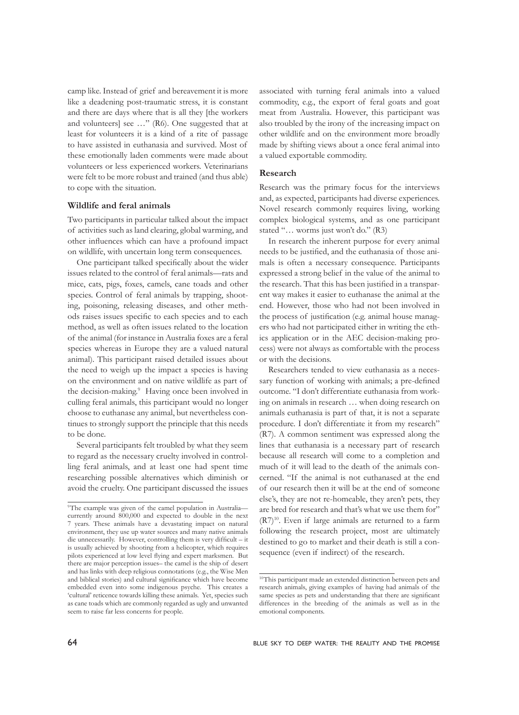camp like. Instead of grief and bereavement it is more like a deadening post-traumatic stress, it is constant and there are days where that is all they [the workers and volunteers] see …" (R6). One suggested that at least for volunteers it is a kind of a rite of passage to have assisted in euthanasia and survived. Most of these emotionally laden comments were made about volunteers or less experienced workers. Veterinarians were felt to be more robust and trained (and thus able) to cope with the situation.

#### **Wildlife and feral animals**

Two participants in particular talked about the impact of activities such as land clearing, global warming, and other influences which can have a profound impact on wildlife, with uncertain long term consequences.

One participant talked specifically about the wider issues related to the control of feral animals—rats and mice, cats, pigs, foxes, camels, cane toads and other species. Control of feral animals by trapping, shooting, poisoning, releasing diseases, and other methods raises issues specific to each species and to each method, as well as often issues related to the location of the animal (for instance in Australia foxes are a feral species whereas in Europe they are a valued natural animal). This participant raised detailed issues about the need to weigh up the impact a species is having on the environment and on native wildlife as part of the decision-making.<sup>9</sup> Having once been involved in culling feral animals, this participant would no longer choose to euthanase any animal, but nevertheless continues to strongly support the principle that this needs to be done.

Several participants felt troubled by what they seem to regard as the necessary cruelty involved in controlling feral animals, and at least one had spent time researching possible alternatives which diminish or avoid the cruelty. One participant discussed the issues associated with turning feral animals into a valued commodity, e.g., the export of feral goats and goat meat from Australia. However, this participant was also troubled by the irony of the increasing impact on other wildlife and on the environment more broadly made by shifting views about a once feral animal into a valued exportable commodity.

### **Research**

Research was the primary focus for the interviews and, as expected, participants had diverse experiences. Novel research commonly requires living, working complex biological systems, and as one participant stated "… worms just won't do." (R3)

In research the inherent purpose for every animal needs to be justified, and the euthanasia of those animals is often a necessary consequence. Participants expressed a strong belief in the value of the animal to the research. That this has been justified in a transparent way makes it easier to euthanase the animal at the end. However, those who had not been involved in the process of justification (e.g. animal house managers who had not participated either in writing the ethics application or in the AEC decision-making process) were not always as comfortable with the process or with the decisions.

Researchers tended to view euthanasia as a necessary function of working with animals; a pre-defined outcome. "I don't differentiate euthanasia from working on animals in research … when doing research on animals euthanasia is part of that, it is not a separate procedure. I don't differentiate it from my research" (R7). A common sentiment was expressed along the lines that euthanasia is a necessary part of research because all research will come to a completion and much of it will lead to the death of the animals concerned. "If the animal is not euthanased at the end of our research then it will be at the end of someone else's, they are not re-homeable, they aren't pets, they are bred for research and that's what we use them for" (R7)10. Even if large animals are returned to a farm following the research project, most are ultimately destined to go to market and their death is still a consequence (even if indirect) of the research.

<sup>9</sup>The example was given of the camel population in Australia currently around 800,000 and expected to double in the next 7 years. These animals have a devastating impact on natural environment, they use up water sources and many native animals die unnecessarily. However, controlling them is very difficult – it is usually achieved by shooting from a helicopter, which requires pilots experienced at low level flying and expert marksmen. But there are major perception issues– the camel is the ship of desert and has links with deep religious connotations (e.g., the Wise Men and biblical stories) and cultural significance which have become embedded even into some indigenous psyche. This creates a 'cultural' reticence towards killing these animals. Yet, species such as cane toads which are commonly regarded as ugly and unwanted seem to raise far less concerns for people.

<sup>&</sup>lt;sup>10</sup>This participant made an extended distinction between pets and research animals, giving examples of having had animals of the same species as pets and understanding that there are significant differences in the breeding of the animals as well as in the emotional components.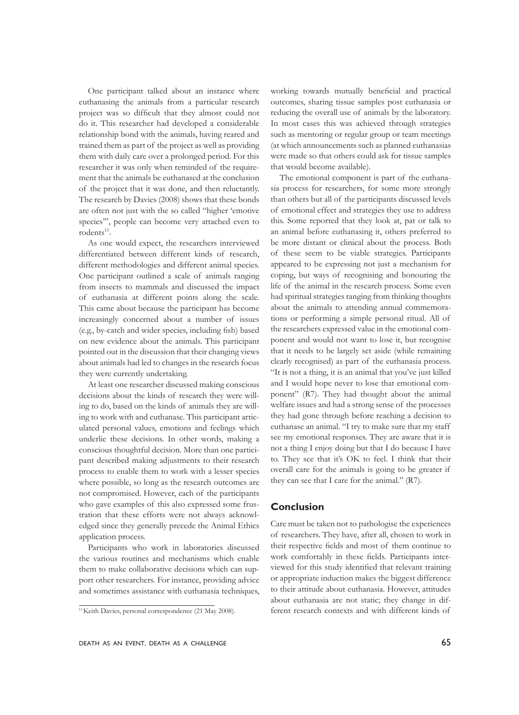One participant talked about an instance where euthanasing the animals from a particular research project was so difficult that they almost could not do it. This researcher had developed a considerable relationship bond with the animals, having reared and trained them as part of the project as well as providing them with daily care over a prolonged period. For this researcher it was only when reminded of the requirement that the animals be euthanased at the conclusion of the project that it was done, and then reluctantly. The research by Davies (2008) shows that these bonds are often not just with the so called "higher 'emotive species'", people can become very attached even to rodents<sup>11</sup>.

As one would expect, the researchers interviewed differentiated between different kinds of research, different methodologies and different animal species. One participant outlined a scale of animals ranging from insects to mammals and discussed the impact of euthanasia at different points along the scale. This came about because the participant has become increasingly concerned about a number of issues (e.g., by-catch and wider species, including fish) based on new evidence about the animals. This participant pointed out in the discussion that their changing views about animals had led to changes in the research focus they were currently undertaking.

At least one researcher discussed making conscious decisions about the kinds of research they were willing to do, based on the kinds of animals they are willing to work with and euthanase. This participant articulated personal values, emotions and feelings which underlie these decisions. In other words, making a conscious thoughtful decision. More than one participant described making adjustments to their research process to enable them to work with a lesser species where possible, so long as the research outcomes are not compromised. However, each of the participants who gave examples of this also expressed some frustration that these efforts were not always acknowledged since they generally precede the Animal Ethics application process.

Participants who work in laboratories discussed the various routines and mechanisms which enable them to make collaborative decisions which can support other researchers. For instance, providing advice and sometimes assistance with euthanasia techniques,

working towards mutually beneficial and practical outcomes, sharing tissue samples post euthanasia or reducing the overall use of animals by the laboratory. In most cases this was achieved through strategies such as mentoring or regular group or team meetings (at which announcements such as planned euthanasias were made so that others could ask for tissue samples that would become available).

The emotional component is part of the euthanasia process for researchers, for some more strongly than others but all of the participants discussed levels of emotional effect and strategies they use to address this. Some reported that they look at, pat or talk to an animal before euthanasing it, others preferred to be more distant or clinical about the process. Both of these seem to be viable strategies. Participants appeared to be expressing not just a mechanism for coping, but ways of recognising and honouring the life of the animal in the research process. Some even had spiritual strategies ranging from thinking thoughts about the animals to attending annual commemorations or performing a simple personal ritual. All of the researchers expressed value in the emotional component and would not want to lose it, but recognise that it needs to be largely set aside (while remaining clearly recognised) as part of the euthanasia process. "It is not a thing, it is an animal that you've just killed and I would hope never to lose that emotional component" (R7). They had thought about the animal welfare issues and had a strong sense of the processes they had gone through before reaching a decision to euthanase an animal. "I try to make sure that my staff see my emotional responses. They are aware that it is not a thing I enjoy doing but that I do because I have to. They see that it's OK to feel. I think that their overall care for the animals is going to be greater if they can see that I care for the animal." (R7).

## **Conclusion**

Care must be taken not to pathologise the experiences of researchers. They have, after all, chosen to work in their respective fields and most of them continue to work comfortably in these fields. Participants interviewed for this study identified that relevant training or appropriate induction makes the biggest difference to their attitude about euthanasia. However, attitudes about euthanasia are not static; they change in different research contexts and with different kinds of

<sup>11</sup>Keith Davies, personal correspondence (21 May 2008).